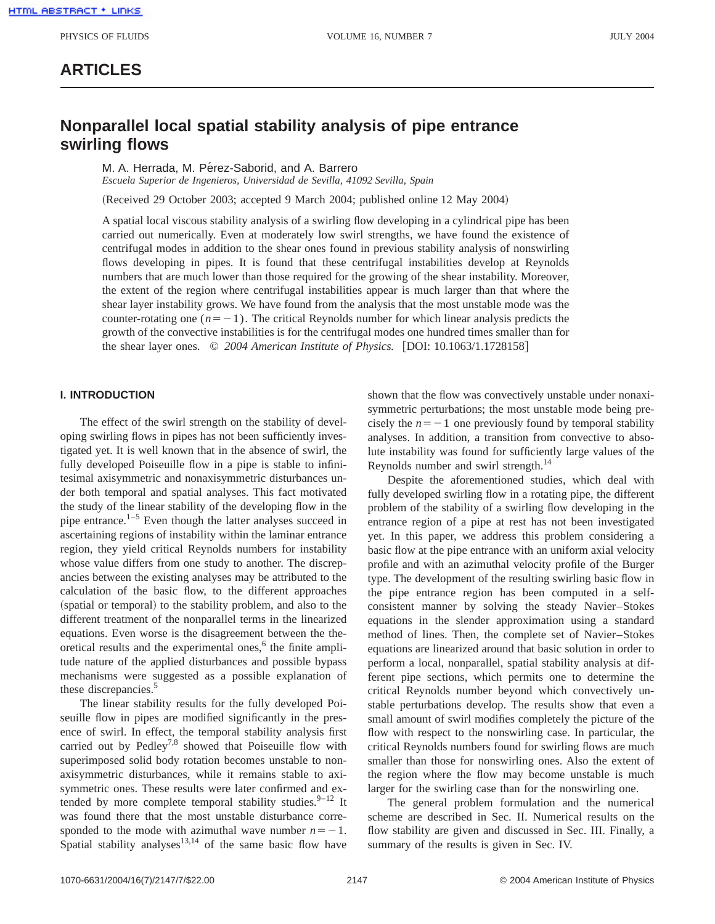## **ARTICLES**

# **Nonparallel local spatial stability analysis of pipe entrance swirling flows**

M. A. Herrada, M. Pérez-Saborid, and A. Barrero

*Escuela Superior de Ingenieros, Universidad de Sevilla, 41092 Sevilla, Spain*

(Received 29 October 2003; accepted 9 March 2004; published online 12 May 2004)

A spatial local viscous stability analysis of a swirling flow developing in a cylindrical pipe has been carried out numerically. Even at moderately low swirl strengths, we have found the existence of centrifugal modes in addition to the shear ones found in previous stability analysis of nonswirling flows developing in pipes. It is found that these centrifugal instabilities develop at Reynolds numbers that are much lower than those required for the growing of the shear instability. Moreover, the extent of the region where centrifugal instabilities appear is much larger than that where the shear layer instability grows. We have found from the analysis that the most unstable mode was the counter-rotating one  $(n=-1)$ . The critical Reynolds number for which linear analysis predicts the growth of the convective instabilities is for the centrifugal modes one hundred times smaller than for the shear layer ones.  $\odot$  2004 American Institute of Physics. [DOI: 10.1063/1.1728158]

#### **I. INTRODUCTION**

The effect of the swirl strength on the stability of developing swirling flows in pipes has not been sufficiently investigated yet. It is well known that in the absence of swirl, the fully developed Poiseuille flow in a pipe is stable to infinitesimal axisymmetric and nonaxisymmetric disturbances under both temporal and spatial analyses. This fact motivated the study of the linear stability of the developing flow in the pipe entrance. $1-5$  Even though the latter analyses succeed in ascertaining regions of instability within the laminar entrance region, they yield critical Reynolds numbers for instability whose value differs from one study to another. The discrepancies between the existing analyses may be attributed to the calculation of the basic flow, to the different approaches (spatial or temporal) to the stability problem, and also to the different treatment of the nonparallel terms in the linearized equations. Even worse is the disagreement between the theoretical results and the experimental ones, $<sup>6</sup>$  the finite ampli-</sup> tude nature of the applied disturbances and possible bypass mechanisms were suggested as a possible explanation of these discrepancies.<sup>5</sup>

The linear stability results for the fully developed Poiseuille flow in pipes are modified significantly in the presence of swirl. In effect, the temporal stability analysis first carried out by Pedley<sup>7,8</sup> showed that Poiseuille flow with superimposed solid body rotation becomes unstable to nonaxisymmetric disturbances, while it remains stable to axisymmetric ones. These results were later confirmed and extended by more complete temporal stability studies.  $9-12$  It was found there that the most unstable disturbance corresponded to the mode with azimuthal wave number  $n=-1$ . Spatial stability analyses $13,14$  of the same basic flow have

shown that the flow was convectively unstable under nonaxisymmetric perturbations; the most unstable mode being precisely the  $n=-1$  one previously found by temporal stability analyses. In addition, a transition from convective to absolute instability was found for sufficiently large values of the Reynolds number and swirl strength.<sup>14</sup>

Despite the aforementioned studies, which deal with fully developed swirling flow in a rotating pipe, the different problem of the stability of a swirling flow developing in the entrance region of a pipe at rest has not been investigated yet. In this paper, we address this problem considering a basic flow at the pipe entrance with an uniform axial velocity profile and with an azimuthal velocity profile of the Burger type. The development of the resulting swirling basic flow in the pipe entrance region has been computed in a selfconsistent manner by solving the steady Navier–Stokes equations in the slender approximation using a standard method of lines. Then, the complete set of Navier–Stokes equations are linearized around that basic solution in order to perform a local, nonparallel, spatial stability analysis at different pipe sections, which permits one to determine the critical Reynolds number beyond which convectively unstable perturbations develop. The results show that even a small amount of swirl modifies completely the picture of the flow with respect to the nonswirling case. In particular, the critical Reynolds numbers found for swirling flows are much smaller than those for nonswirling ones. Also the extent of the region where the flow may become unstable is much larger for the swirling case than for the nonswirling one.

The general problem formulation and the numerical scheme are described in Sec. II. Numerical results on the flow stability are given and discussed in Sec. III. Finally, a summary of the results is given in Sec. IV.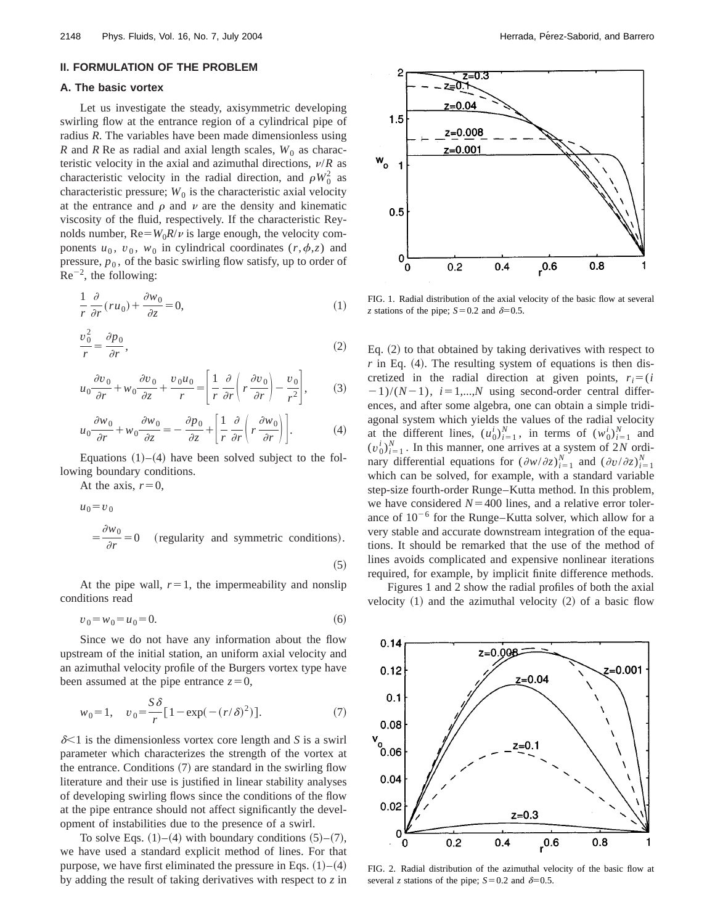#### **II. FORMULATION OF THE PROBLEM**

#### **A. The basic vortex**

Let us investigate the steady, axisymmetric developing swirling flow at the entrance region of a cylindrical pipe of radius *R*. The variables have been made dimensionless using *R* and *R* Re as radial and axial length scales,  $W_0$  as characteristic velocity in the axial and azimuthal directions,  $\nu/R$  as characteristic velocity in the radial direction, and  $\rho W_0^2$  as characteristic pressure;  $W_0$  is the characteristic axial velocity at the entrance and  $\rho$  and  $\nu$  are the density and kinematic viscosity of the fluid, respectively. If the characteristic Reynolds number,  $Re=W_0R/\nu$  is large enough, the velocity components  $u_0$ ,  $v_0$ ,  $w_0$  in cylindrical coordinates  $(r, \phi, z)$  and pressure,  $p_0$ , of the basic swirling flow satisfy, up to order of  $Re^{-2}$ , the following:

$$
\frac{1}{r}\frac{\partial}{\partial r}(ru_0) + \frac{\partial w_0}{\partial z} = 0,\tag{1}
$$

$$
\frac{v_0^2}{r} = \frac{\partial p_0}{\partial r},\tag{2}
$$

$$
u_0 \frac{\partial v_0}{\partial r} + w_0 \frac{\partial v_0}{\partial z} + \frac{v_0 u_0}{r} = \left[ \frac{1}{r} \frac{\partial}{\partial r} \left( r \frac{\partial v_0}{\partial r} \right) - \frac{v_0}{r^2} \right],\tag{3}
$$

$$
u_0 \frac{\partial w_0}{\partial r} + w_0 \frac{\partial w_0}{\partial z} = -\frac{\partial p_0}{\partial z} + \left[ \frac{1}{r} \frac{\partial}{\partial r} \left( r \frac{\partial w_0}{\partial r} \right) \right].
$$
 (4)

Equations  $(1)$ – $(4)$  have been solved subject to the following boundary conditions.

At the axis,  $r=0$ ,

$$
u_0 = v_0
$$
  
=  $\frac{\partial w_0}{\partial r} = 0$  (regularity and symmetric conditions).

 $(5)$ 

At the pipe wall,  $r=1$ , the impermeability and nonslip conditions read

$$
v_0 = w_0 = u_0 = 0.\t\t(6)
$$

Since we do not have any information about the flow upstream of the initial station, an uniform axial velocity and an azimuthal velocity profile of the Burgers vortex type have been assumed at the pipe entrance  $z=0$ ,

$$
w_0 = 1, \quad v_0 = \frac{S\,\delta}{r} \left[ 1 - \exp(-(r/\delta)^2) \right]. \tag{7}
$$

 $\delta$ <1 is the dimensionless vortex core length and *S* is a swirl parameter which characterizes the strength of the vortex at the entrance. Conditions  $(7)$  are standard in the swirling flow literature and their use is justified in linear stability analyses of developing swirling flows since the conditions of the flow at the pipe entrance should not affect significantly the development of instabilities due to the presence of a swirl.

To solve Eqs.  $(1)$ – $(4)$  with boundary conditions  $(5)$ – $(7)$ , we have used a standard explicit method of lines. For that purpose, we have first eliminated the pressure in Eqs.  $(1)$ – $(4)$ by adding the result of taking derivatives with respect to *z* in



FIG. 1. Radial distribution of the axial velocity of the basic flow at several *z* stations of the pipe;  $S=0.2$  and  $\delta=0.5$ .

Eq.  $(2)$  to that obtained by taking derivatives with respect to  $r$  in Eq. (4). The resulting system of equations is then discretized in the radial direction at given points,  $r_i = (i)$  $(2-1)/(N-1)$ ,  $i=1,...,N$  using second-order central differences, and after some algebra, one can obtain a simple tridiagonal system which yields the values of the radial velocity at the different lines,  $(u_0^i)_{i=1}^N$ , in terms of  $(w_0^i)_{i=1}^N$  and  $(v_0^i)_{i=1}^N$ . In this manner, one arrives at a system of 2*N* ordinary differential equations for  $(\partial w/\partial z)^{N}_{i=1}$  and  $(\partial v/\partial z)^{N}_{i=1}$ which can be solved, for example, with a standard variable step-size fourth-order Runge–Kutta method. In this problem, we have considered  $N=400$  lines, and a relative error tolerance of  $10^{-6}$  for the Runge–Kutta solver, which allow for a very stable and accurate downstream integration of the equations. It should be remarked that the use of the method of lines avoids complicated and expensive nonlinear iterations required, for example, by implicit finite difference methods.

Figures 1 and 2 show the radial profiles of both the axial velocity  $(1)$  and the azimuthal velocity  $(2)$  of a basic flow



FIG. 2. Radial distribution of the azimuthal velocity of the basic flow at several *z* stations of the pipe;  $S=0.2$  and  $\delta=0.5$ .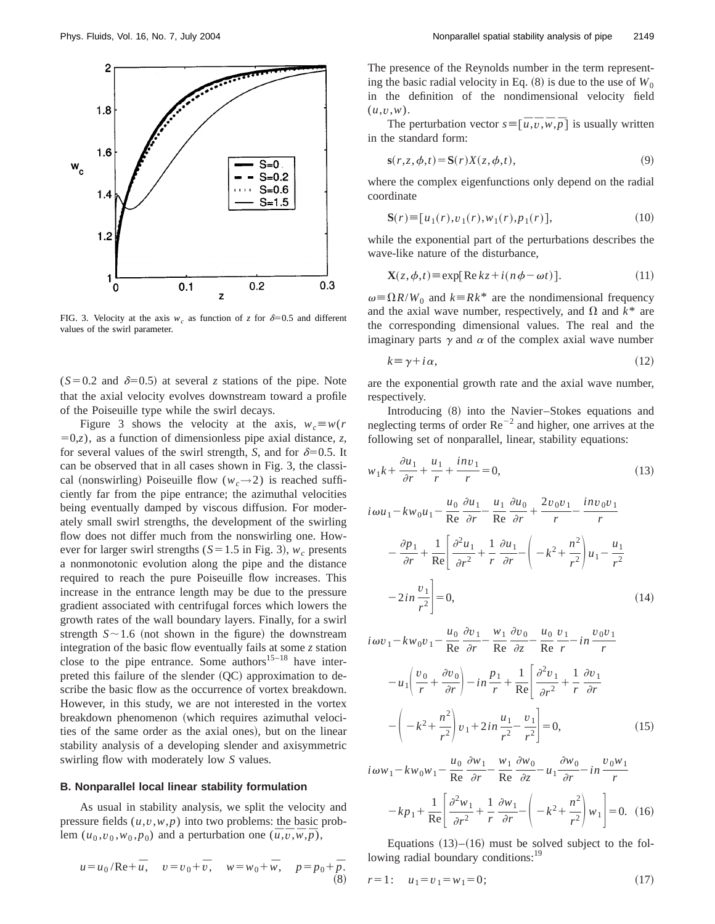

FIG. 3. Velocity at the axis  $w_c$  as function of *z* for  $\delta=0.5$  and different values of the swirl parameter.

 $(S=0.2$  and  $\delta=0.5$ ) at several *z* stations of the pipe. Note that the axial velocity evolves downstream toward a profile of the Poiseuille type while the swirl decays.

Figure 3 shows the velocity at the axis,  $w_c \equiv w(r)$  $(5, 2, 0)$ , as a function of dimensionless pipe axial distance, *z*, for several values of the swirl strength, *S*, and for  $\delta=0.5$ . It can be observed that in all cases shown in Fig. 3, the classical (nonswirling) Poiseuille flow  $(w_c \rightarrow 2)$  is reached sufficiently far from the pipe entrance; the azimuthal velocities being eventually damped by viscous diffusion. For moderately small swirl strengths, the development of the swirling flow does not differ much from the nonswirling one. However for larger swirl strengths ( $S=1.5$  in Fig. 3),  $w_c$  presents a nonmonotonic evolution along the pipe and the distance required to reach the pure Poiseuille flow increases. This increase in the entrance length may be due to the pressure gradient associated with centrifugal forces which lowers the growth rates of the wall boundary layers. Finally, for a swirl strength  $S \sim 1.6$  (not shown in the figure) the downstream integration of the basic flow eventually fails at some *z* station close to the pipe entrance. Some authors<sup>15–18</sup> have interpreted this failure of the slender  $(QC)$  approximation to describe the basic flow as the occurrence of vortex breakdown. However, in this study, we are not interested in the vortex breakdown phenomenon (which requires azimuthal velocities of the same order as the axial ones), but on the linear stability analysis of a developing slender and axisymmetric swirling flow with moderately low *S* values.

#### **B. Nonparallel local linear stability formulation**

As usual in stability analysis, we split the velocity and pressure fields  $(u, v, w, p)$  into two problems: the basic problem  $(u_0, v_0, w_0, p_0)$  and a perturbation one  $(\bar{u}, \bar{v}, \bar{w}, \bar{p})$ ,

$$
u = u_0 / \text{Re} + \bar{u}, \quad v = v_0 + \bar{v}, \quad w = w_0 + \bar{w}, \quad p = p_0 + \bar{p}.
$$
 (8)

The presence of the Reynolds number in the term representing the basic radial velocity in Eq.  $(8)$  is due to the use of  $W_0$ in the definition of the nondimensional velocity field (*u*,*v*,*w*).

The perturbation vector  $s = [\bar{u}, \bar{v}, \bar{w}, \bar{p}]$  is usually written in the standard form:

$$
\mathbf{s}(r,z,\phi,t) = \mathbf{S}(r)X(z,\phi,t),\tag{9}
$$

where the complex eigenfunctions only depend on the radial coordinate

$$
\mathbf{S}(r) \equiv [u_1(r), v_1(r), w_1(r), p_1(r)], \qquad (10)
$$

while the exponential part of the perturbations describes the wave-like nature of the disturbance,

$$
\mathbf{X}(z, \phi, t) \equiv \exp[\text{Re}\,kz + i(n\,\phi - \omega t)].\tag{11}
$$

 $\omega = \Omega R/W_0$  and  $k = Rk^*$  are the nondimensional frequency and the axial wave number, respectively, and  $\Omega$  and  $k^*$  are the corresponding dimensional values. The real and the imaginary parts  $\gamma$  and  $\alpha$  of the complex axial wave number

$$
k \equiv \gamma + i\,\alpha,\tag{12}
$$

are the exponential growth rate and the axial wave number, respectively.

Introducing  $(8)$  into the Navier–Stokes equations and neglecting terms of order  $Re^{-2}$  and higher, one arrives at the following set of nonparallel, linear, stability equations:

$$
w_1k + \frac{\partial u_1}{\partial r} + \frac{u_1}{r} + \frac{inv_1}{r} = 0,\tag{13}
$$

$$
i\omega u_1 - kw_0 u_1 - \frac{u_0}{\text{Re}} \frac{\partial u_1}{\partial r} - \frac{u_1}{\text{Re}} \frac{\partial u_0}{\partial r} + \frac{2v_0 v_1}{r} - \frac{inv_0 v_1}{r}
$$

$$
- \frac{\partial p_1}{\partial r} + \frac{1}{\text{Re}} \left[ \frac{\partial^2 u_1}{\partial r^2} + \frac{1}{r} \frac{\partial u_1}{\partial r} - \left( -k^2 + \frac{n^2}{r^2} \right) u_1 - \frac{u_1}{r^2} - 2in \frac{v_1}{r^2} \right] = 0,
$$
(14)

$$
i\omega v_1 - kw_0v_1 - \frac{u_0}{Re}\frac{\partial v_1}{\partial r} - \frac{w_1}{Re}\frac{\partial v_0}{\partial z} - \frac{u_0}{Re}\frac{v_1}{r} - in\frac{v_0v_1}{r}
$$

$$
-u_1\left(\frac{v_0}{r} + \frac{\partial v_0}{\partial r}\right) - in\frac{p_1}{r} + \frac{1}{Re}\left[\frac{\partial^2 v_1}{\partial r^2} + \frac{1}{r}\frac{\partial v_1}{\partial r}\right]
$$

$$
-\left(-k^2 + \frac{n^2}{r^2}\right)v_1 + 2in\frac{u_1}{r^2} - \frac{v_1}{r^2}\right] = 0,
$$
(15)

 $i\omega w_1 - k w_0 w_1 - \frac{u_0}{Re}$  $\frac{\partial w_1}{\partial r}$  -  $\frac{w_1}{\text{Re}}$  $\partial w_0$  $\frac{\partial}{\partial z}$  –  $u_1$  $\partial w_0$  $\frac{\partial}{\partial r} - in$ *v*0*w*<sup>1</sup> *r*  $-kp_1+$  $\frac{1}{\text{Re}}\left(\frac{\partial^2 w_1}{\partial r^2} + \right)$ 1 *r*  $\frac{\partial w_1}{\partial r} - \left( -k^2 + \frac{n^2}{r^2} \right) w_1 \Bigg| = 0.$  (16)

Equations  $(13)$ – $(16)$  must be solved subject to the following radial boundary conditions:<sup>19</sup>

$$
r=1: u_1=v_1=w_1=0;
$$
 (17)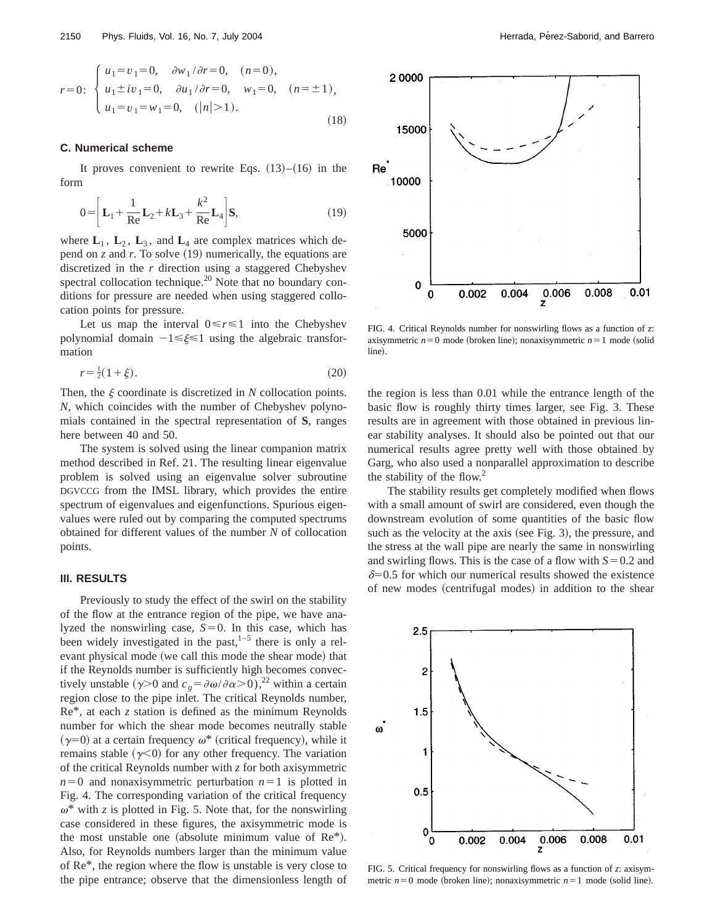$$
r=0: \begin{cases} u_1 = v_1 = 0, & \partial w_1/\partial r = 0, \quad (n=0), \\ u_1 \pm iv_1 = 0, & \partial u_1/\partial r = 0, \quad w_1 = 0, \quad (n = \pm 1), \\ u_1 = v_1 = w_1 = 0, & (|n| > 1). \end{cases}
$$
(18)

#### **C. Numerical scheme**

It proves convenient to rewrite Eqs.  $(13)$ – $(16)$  in the form

$$
0 = \left[ \mathbf{L}_1 + \frac{1}{\mathrm{Re}} \mathbf{L}_2 + k \mathbf{L}_3 + \frac{k^2}{\mathrm{Re}} \mathbf{L}_4 \right] \mathbf{S},\tag{19}
$$

where  $L_1$ ,  $L_2$ ,  $L_3$ , and  $L_4$  are complex matrices which depend on  $z$  and  $r$ . To solve  $(19)$  numerically, the equations are discretized in the *r* direction using a staggered Chebyshev spectral collocation technique. $2<sup>0</sup>$  Note that no boundary conditions for pressure are needed when using staggered collocation points for pressure.

Let us map the interval  $0 \le r \le 1$  into the Chebyshev polynomial domain  $-1 \le \xi \le 1$  using the algebraic transformation

$$
r = \frac{1}{2}(1 + \xi). \tag{20}
$$

Then, the  $\xi$  coordinate is discretized in  $N$  collocation points. *N*, which coincides with the number of Chebyshev polynomials contained in the spectral representation of **S**, ranges here between 40 and 50.

The system is solved using the linear companion matrix method described in Ref. 21. The resulting linear eigenvalue problem is solved using an eigenvalue solver subroutine DGVCCG from the IMSL library, which provides the entire spectrum of eigenvalues and eigenfunctions. Spurious eigenvalues were ruled out by comparing the computed spectrums obtained for different values of the number *N* of collocation points.

#### **III. RESULTS**

Previously to study the effect of the swirl on the stability of the flow at the entrance region of the pipe, we have analyzed the nonswirling case,  $S=0$ . In this case, which has been widely investigated in the past,  $1-5$  there is only a relevant physical mode (we call this mode the shear mode) that if the Reynolds number is sufficiently high becomes convectively unstable ( $\gamma$ >0 and  $c_g = \partial \omega / \partial \alpha$ >0),<sup>22</sup> within a certain region close to the pipe inlet. The critical Reynolds number, Re\*, at each *z* station is defined as the minimum Reynolds number for which the shear mode becomes neutrally stable  $(\gamma=0)$  at a certain frequency  $\omega^*$  (critical frequency), while it remains stable  $(\gamma<0)$  for any other frequency. The variation of the critical Reynolds number with *z* for both axisymmetric  $n=0$  and nonaxisymmetric perturbation  $n=1$  is plotted in Fig. 4. The corresponding variation of the critical frequency  $\omega^*$  with *z* is plotted in Fig. 5. Note that, for the nonswirling case considered in these figures, the axisymmetric mode is the most unstable one (absolute minimum value of  $Re^*$ ). Also, for Reynolds numbers larger than the minimum value of Re\*, the region where the flow is unstable is very close to the pipe entrance; observe that the dimensionless length of



FIG. 4. Critical Reynolds number for nonswirling flows as a function of *z*: axisymmetric  $n=0$  mode (broken line); nonaxisymmetric  $n=1$  mode (solid line).

the region is less than 0.01 while the entrance length of the basic flow is roughly thirty times larger, see Fig. 3. These results are in agreement with those obtained in previous linear stability analyses. It should also be pointed out that our numerical results agree pretty well with those obtained by Garg, who also used a nonparallel approximation to describe the stability of the flow.<sup>2</sup>

The stability results get completely modified when flows with a small amount of swirl are considered, even though the downstream evolution of some quantities of the basic flow such as the velocity at the axis (see Fig. 3), the pressure, and the stress at the wall pipe are nearly the same in nonswirling and swirling flows. This is the case of a flow with  $S=0.2$  and  $\delta$ =0.5 for which our numerical results showed the existence of new modes (centrifugal modes) in addition to the shear



FIG. 5. Critical frequency for nonswirling flows as a function of *z*: axisymmetric  $n=0$  mode (broken line); nonaxisymmetric  $n=1$  mode (solid line).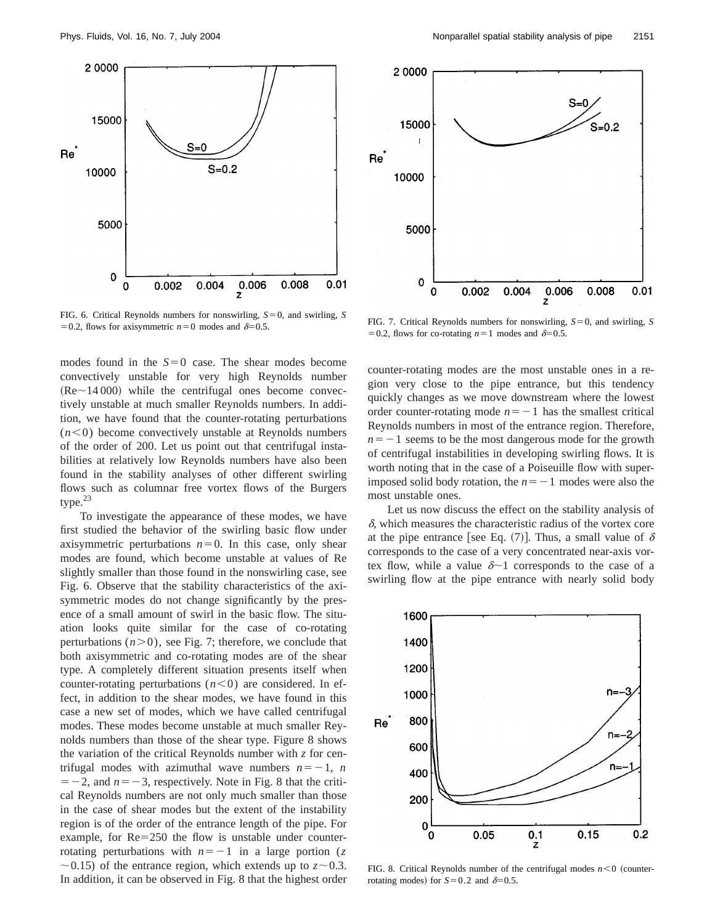

FIG. 6. Critical Reynolds numbers for nonswirling,  $S=0$ , and swirling, *S* 

modes found in the  $S=0$  case. The shear modes become convectively unstable for very high Reynolds number  $(Re~14 000)$  while the centrifugal ones become convectively unstable at much smaller Reynolds numbers. In addition, we have found that the counter-rotating perturbations  $(n<0)$  become convectively unstable at Reynolds numbers of the order of 200. Let us point out that centrifugal instabilities at relatively low Reynolds numbers have also been found in the stability analyses of other different swirling flows such as columnar free vortex flows of the Burgers type.23

To investigate the appearance of these modes, we have first studied the behavior of the swirling basic flow under axisymmetric perturbations  $n=0$ . In this case, only shear modes are found, which become unstable at values of Re slightly smaller than those found in the nonswirling case, see Fig. 6. Observe that the stability characteristics of the axisymmetric modes do not change significantly by the presence of a small amount of swirl in the basic flow. The situation looks quite similar for the case of co-rotating perturbations  $(n>0)$ , see Fig. 7; therefore, we conclude that both axisymmetric and co-rotating modes are of the shear type. A completely different situation presents itself when counter-rotating perturbations  $(n<0)$  are considered. In effect, in addition to the shear modes, we have found in this case a new set of modes, which we have called centrifugal modes. These modes become unstable at much smaller Reynolds numbers than those of the shear type. Figure 8 shows the variation of the critical Reynolds number with *z* for centrifugal modes with azimuthal wave numbers  $n=-1$ , *n*  $=$  -2, and  $n = -3$ , respectively. Note in Fig. 8 that the critical Reynolds numbers are not only much smaller than those in the case of shear modes but the extent of the instability region is of the order of the entrance length of the pipe. For example, for  $Re = 250$  the flow is unstable under counterrotating perturbations with  $n=-1$  in a large portion (*z*  $\sim$  0.15) of the entrance region, which extends up to  $z \sim 0.3$ . In addition, it can be observed in Fig. 8 that the highest order



50.2, flows for axisymmetric  $n=0$  modes and  $\delta=0.5$ . FIG. 7. Critical Reynolds numbers for nonswirling,  $S=0$ , and swirling, *S* = 0. = 0.2, flows for co-rotating  $n=1$  modes and  $\delta=0.5$ .

counter-rotating modes are the most unstable ones in a region very close to the pipe entrance, but this tendency quickly changes as we move downstream where the lowest order counter-rotating mode  $n=-1$  has the smallest critical Reynolds numbers in most of the entrance region. Therefore,  $n=-1$  seems to be the most dangerous mode for the growth of centrifugal instabilities in developing swirling flows. It is worth noting that in the case of a Poiseuille flow with superimposed solid body rotation, the  $n=-1$  modes were also the most unstable ones.

Let us now discuss the effect on the stability analysis of  $\delta$ , which measures the characteristic radius of the vortex core at the pipe entrance [see Eq. (7)]. Thus, a small value of  $\delta$ corresponds to the case of a very concentrated near-axis vortex flow, while a value  $\delta$  1 corresponds to the case of a swirling flow at the pipe entrance with nearly solid body



FIG. 8. Critical Reynolds number of the centrifugal modes  $n < 0$  (counterrotating modes) for  $S=0.2$  and  $\delta=0.5$ .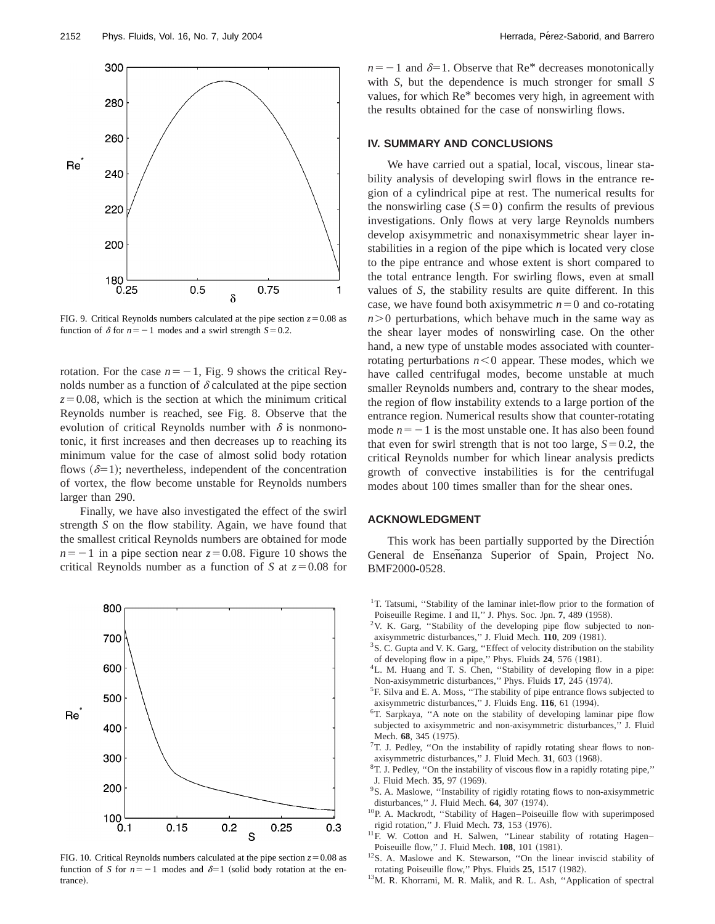

FIG. 9. Critical Reynolds numbers calculated at the pipe section  $z=0.08$  as function of  $\delta$  for  $n=-1$  modes and a swirl strength  $S=0.2$ .

rotation. For the case  $n=-1$ , Fig. 9 shows the critical Reynolds number as a function of  $\delta$  calculated at the pipe section  $z=0.08$ , which is the section at which the minimum critical Reynolds number is reached, see Fig. 8. Observe that the evolution of critical Reynolds number with  $\delta$  is nonmonotonic, it first increases and then decreases up to reaching its minimum value for the case of almost solid body rotation flows  $(\delta=1)$ ; nevertheless, independent of the concentration of vortex, the flow become unstable for Reynolds numbers larger than 290.

Finally, we have also investigated the effect of the swirl strength *S* on the flow stability. Again, we have found that the smallest critical Reynolds numbers are obtained for mode  $n=-1$  in a pipe section near  $z=0.08$ . Figure 10 shows the critical Reynolds number as a function of *S* at  $z=0.08$  for



 $n=-1$  and  $\delta=1$ . Observe that Re<sup>\*</sup> decreases monotonically with *S*, but the dependence is much stronger for small *S* values, for which Re\* becomes very high, in agreement with the results obtained for the case of nonswirling flows.

## **IV. SUMMARY AND CONCLUSIONS**

We have carried out a spatial, local, viscous, linear stability analysis of developing swirl flows in the entrance region of a cylindrical pipe at rest. The numerical results for the nonswirling case  $(S=0)$  confirm the results of previous investigations. Only flows at very large Reynolds numbers develop axisymmetric and nonaxisymmetric shear layer instabilities in a region of the pipe which is located very close to the pipe entrance and whose extent is short compared to the total entrance length. For swirling flows, even at small values of *S*, the stability results are quite different. In this case, we have found both axisymmetric  $n=0$  and co-rotating  $n>0$  perturbations, which behave much in the same way as the shear layer modes of nonswirling case. On the other hand, a new type of unstable modes associated with counterrotating perturbations  $n < 0$  appear. These modes, which we have called centrifugal modes, become unstable at much smaller Reynolds numbers and, contrary to the shear modes, the region of flow instability extends to a large portion of the entrance region. Numerical results show that counter-rotating mode  $n=-1$  is the most unstable one. It has also been found that even for swirl strength that is not too large,  $S=0.2$ , the critical Reynolds number for which linear analysis predicts growth of convective instabilities is for the centrifugal modes about 100 times smaller than for the shear ones.

### **ACKNOWLEDGMENT**

This work has been partially supported by the Direction General de Enseñanza Superior of Spain, Project No. BMF2000-0528.

- <sup>1</sup>T. Tatsumi, "Stability of the laminar inlet-flow prior to the formation of Poiseuille Regime. I and II," J. Phys. Soc. Jpn. 7, 489 (1958).
- <sup>2</sup>V. K. Garg, "Stability of the developing pipe flow subjected to nonaxisymmetric disturbances," J. Fluid Mech. 110, 209 (1981).
- <sup>3</sup>S. C. Gupta and V. K. Garg, "Effect of velocity distribution on the stability of developing flow in a pipe," Phys. Fluids 24, 576 (1981).
- 4L. M. Huang and T. S. Chen, ''Stability of developing flow in a pipe: Non-axisymmetric disturbances," Phys. Fluids 17, 245 (1974).
- 5F. Silva and E. A. Moss, ''The stability of pipe entrance flows subjected to axisymmetric disturbances," J. Fluids Eng. 116, 61 (1994).
- 6T. Sarpkaya, ''A note on the stability of developing laminar pipe flow subjected to axisymmetric and non-axisymmetric disturbances,'' J. Fluid Mech. 68, 345 (1975).
- $7T$ . J. Pedley, "On the instability of rapidly rotating shear flows to nonaxisymmetric disturbances," J. Fluid Mech. 31, 603 (1968).
- 8T. J. Pedley, ''On the instability of viscous flow in a rapidly rotating pipe,'' J. Fluid Mech. 35, 97 (1969).
- <sup>9</sup>S. A. Maslowe, "Instability of rigidly rotating flows to non-axisymmetric disturbances," J. Fluid Mech. 64, 307 (1974).
- 10P. A. Mackrodt, ''Stability of Hagen–Poiseuille flow with superimposed rigid rotation," J. Fluid Mech. 73, 153 (1976).
- <sup>11</sup>F. W. Cotton and H. Salwen, "Linear stability of rotating Hagen-Poiseuille flow," J. Fluid Mech. 108, 101 (1981).
- <sup>12</sup>S. A. Maslowe and K. Stewarson, "On the linear inviscid stability of rotating Poiseuille flow," Phys. Fluids 25, 1517 (1982).
- 13M. R. Khorrami, M. R. Malik, and R. L. Ash, ''Application of spectral

FIG. 10. Critical Reynolds numbers calculated at the pipe section  $z=0.08$  as function of *S* for  $n=-1$  modes and  $\delta=1$  (solid body rotation at the entrance).